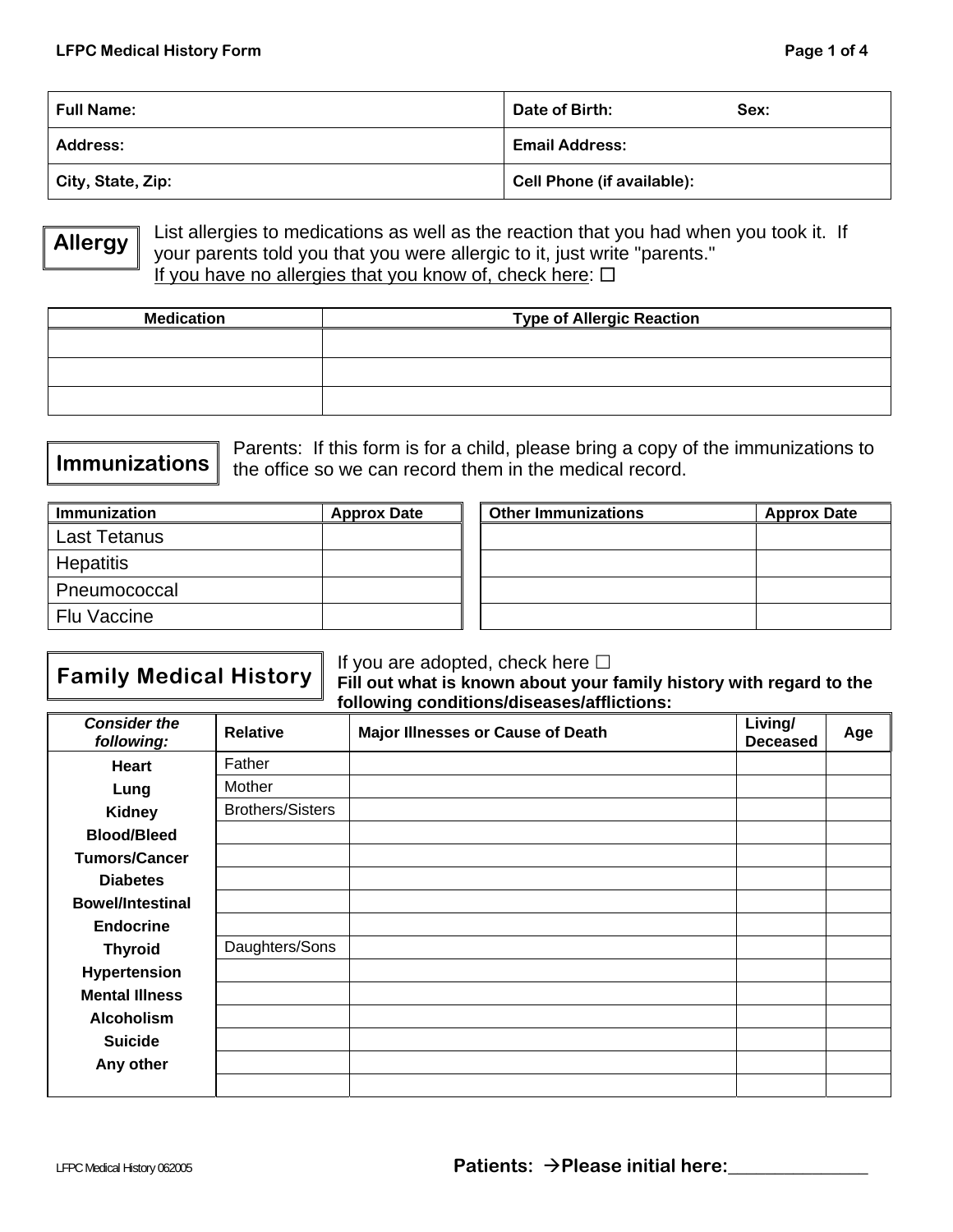| <b>Full Name:</b> | Date of Birth:             | Sex: |
|-------------------|----------------------------|------|
| Address:          | <b>Email Address:</b>      |      |
| City, State, Zip: | Cell Phone (if available): |      |

**Allergy** 

List allergies to medications as well as the reaction that you had when you took it. If your parents told you that you were allergic to it, just write "parents." If you have no allergies that you know of, check here:  $\Box$ 

| <b>Medication</b> | <b>Type of Allergic Reaction</b> |  |
|-------------------|----------------------------------|--|
|                   |                                  |  |
|                   |                                  |  |
|                   |                                  |  |

## Parents: If this form is for a child, please bring a copy of the immunizations to the office so we can record them in the medical record. **Immunizations**

| <b>Immunization</b> | <b>Approx Date</b> | <b>Other Immunizations</b> | <b>Approx Date</b> |
|---------------------|--------------------|----------------------------|--------------------|
| Last Tetanus        |                    |                            |                    |
| <b>Hepatitis</b>    |                    |                            |                    |
| Pneumococcal        |                    |                            |                    |
| <b>Flu Vaccine</b>  |                    |                            |                    |

# **Family Medical History** If you are adopted, check here  $\Box$ <br>**Fill out what is known about your t**

**Fill out what is known about your family history with regard to the following conditions/diseases/afflictions:** 

| <b>Consider the</b><br>following: | <b>Relative</b>         | <b>Major Illnesses or Cause of Death</b> | Living/<br><b>Deceased</b> | Age |
|-----------------------------------|-------------------------|------------------------------------------|----------------------------|-----|
| <b>Heart</b>                      | Father                  |                                          |                            |     |
| Lung                              | Mother                  |                                          |                            |     |
| <b>Kidney</b>                     | <b>Brothers/Sisters</b> |                                          |                            |     |
| <b>Blood/Bleed</b>                |                         |                                          |                            |     |
| <b>Tumors/Cancer</b>              |                         |                                          |                            |     |
| <b>Diabetes</b>                   |                         |                                          |                            |     |
| <b>Bowel/Intestinal</b>           |                         |                                          |                            |     |
| <b>Endocrine</b>                  |                         |                                          |                            |     |
| <b>Thyroid</b>                    | Daughters/Sons          |                                          |                            |     |
| <b>Hypertension</b>               |                         |                                          |                            |     |
| <b>Mental Illness</b>             |                         |                                          |                            |     |
| <b>Alcoholism</b>                 |                         |                                          |                            |     |
| <b>Suicide</b>                    |                         |                                          |                            |     |
| Any other                         |                         |                                          |                            |     |
|                                   |                         |                                          |                            |     |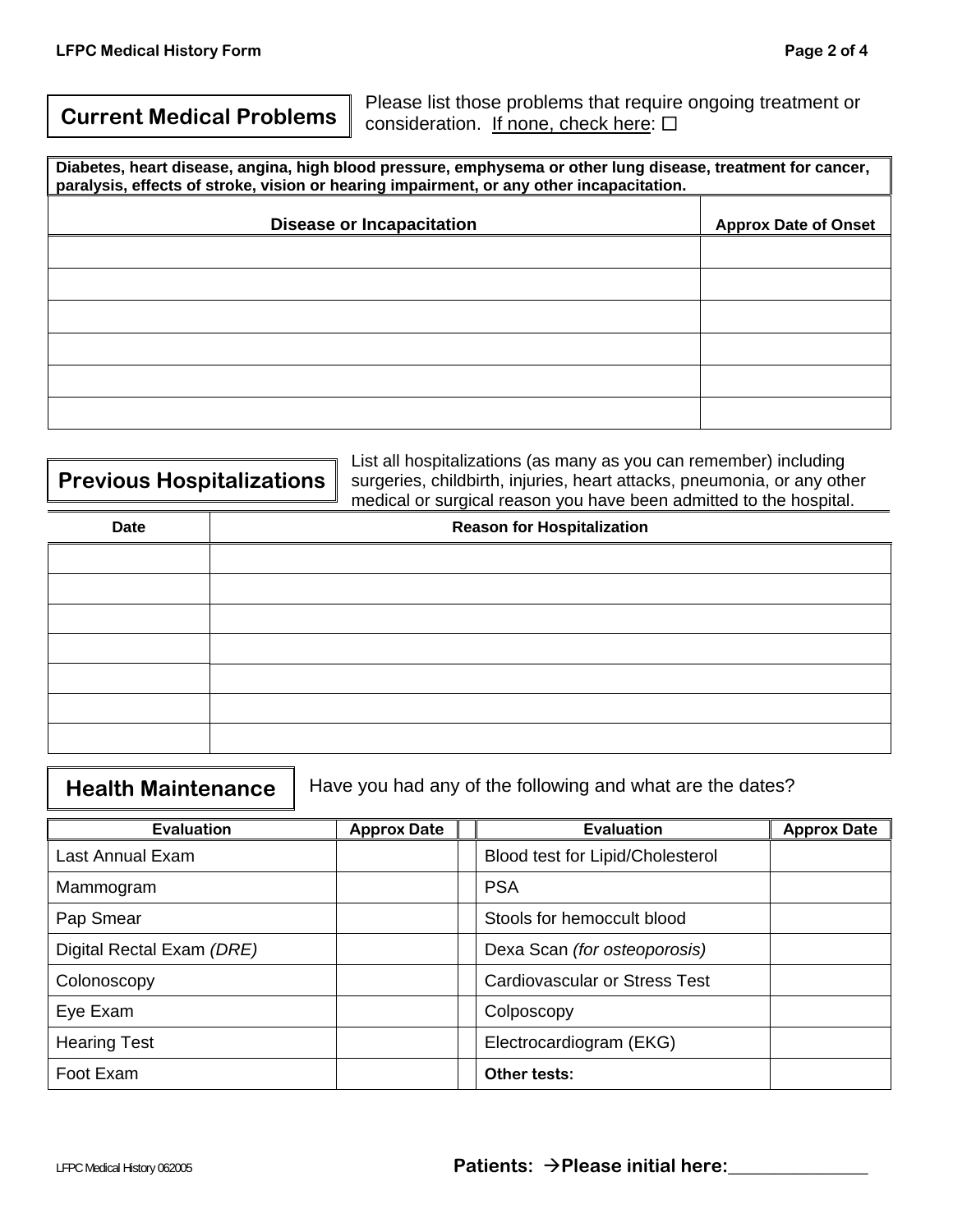**Current Medical Problems** Please list those problems that require ongoing treatment or consideration. If none, check here:  $\Box$ 

**Diabetes, heart disease, angina, high blood pressure, emphysema or other lung disease, treatment for cancer, paralysis, effects of stroke, vision or hearing impairment, or any other incapacitation.** 

| <b>Disease or Incapacitation</b> | <b>Approx Date of Onset</b> |
|----------------------------------|-----------------------------|
|                                  |                             |
|                                  |                             |
|                                  |                             |
|                                  |                             |
|                                  |                             |
|                                  |                             |

|                           | List all hospitalizations (as many as you can remember) including       |  |
|---------------------------|-------------------------------------------------------------------------|--|
|                           |                                                                         |  |
| Previous Hospitalizations | surgeries, childbirth, injuries, heart attacks, pneumonia, or any other |  |
|                           | medical or surgical reason you have been admitted to the hospital.      |  |
|                           |                                                                         |  |

| <b>Date</b> | <b>Reason for Hospitalization</b> |
|-------------|-----------------------------------|
|             |                                   |
|             |                                   |
|             |                                   |
|             |                                   |
|             |                                   |
|             |                                   |
|             |                                   |

 $\overline{\phantom{0}}$ 

| <b>Evaluation</b>         | <b>Approx Date</b> | <b>Evaluation</b>                    | <b>Approx Date</b> |
|---------------------------|--------------------|--------------------------------------|--------------------|
| Last Annual Exam          |                    | Blood test for Lipid/Cholesterol     |                    |
| Mammogram                 |                    | <b>PSA</b>                           |                    |
| Pap Smear                 |                    | Stools for hemoccult blood           |                    |
| Digital Rectal Exam (DRE) |                    | Dexa Scan (for osteoporosis)         |                    |
| Colonoscopy               |                    | <b>Cardiovascular or Stress Test</b> |                    |
| Eye Exam                  |                    | Colposcopy                           |                    |
| <b>Hearing Test</b>       |                    | Electrocardiogram (EKG)              |                    |
| Foot Exam                 |                    | Other tests:                         |                    |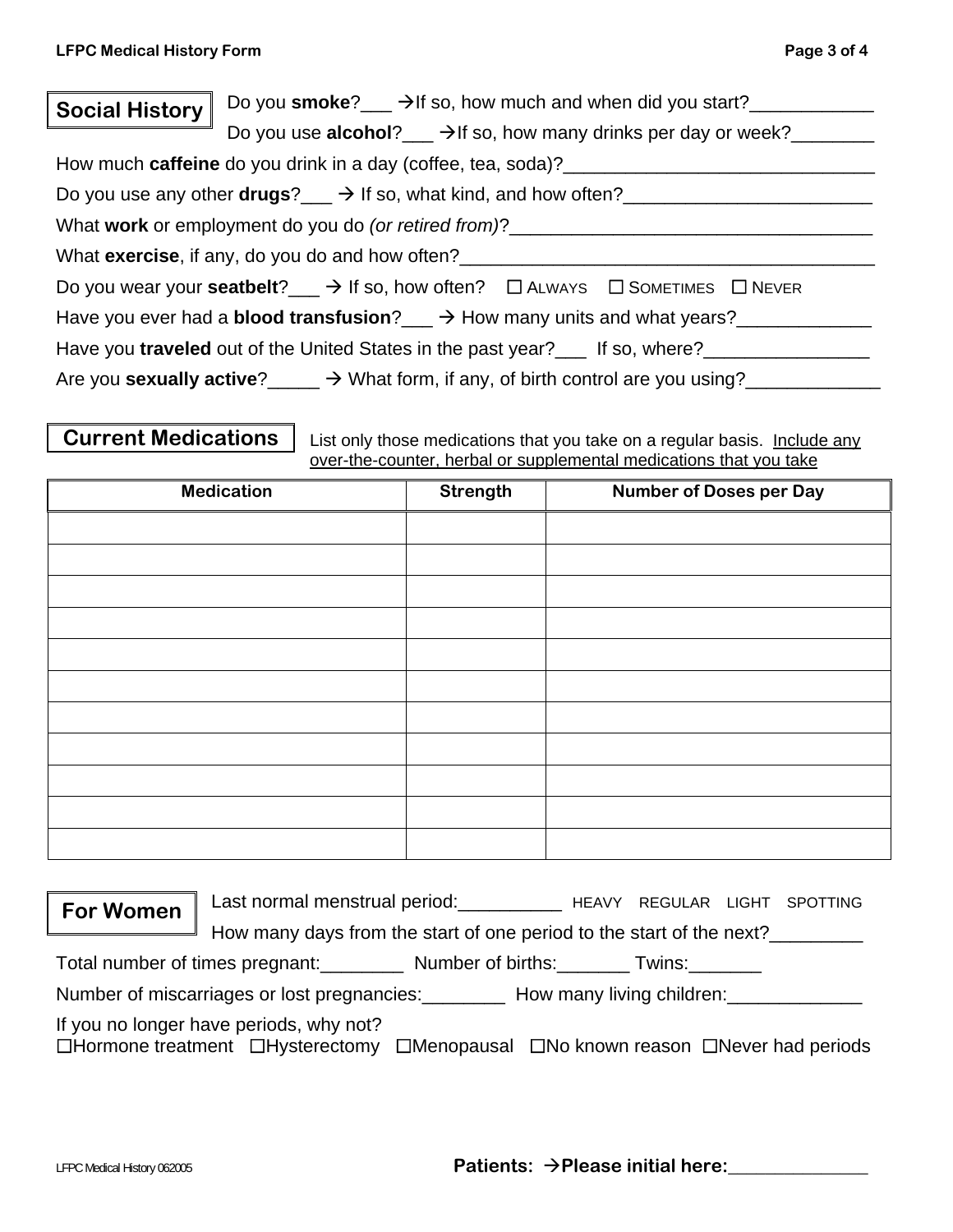|                       | Do you smoke? $\rightarrow$ If so, how much and when did you start?                                            |
|-----------------------|----------------------------------------------------------------------------------------------------------------|
| <b>Social History</b> |                                                                                                                |
|                       | Do you use <b>alcohol</b> ? $\rightarrow$ H so, how many drinks per day or week?                               |
|                       | How much caffeine do you drink in a day (coffee, tea, soda)?_____________________                              |
|                       | Do you use any other <b>drugs</b> ? $\rightarrow$ If so, what kind, and how often?                             |
|                       | What work or employment do you do (or retired from)?                                                           |
|                       | What <b>exercise</b> , if any, do you do and how often?                                                        |
|                       | Do you wear your <b>seatbelt</b> ? $\rightarrow$ If so, how often? $\Box$ ALWAYS $\Box$ SOMETIMES $\Box$ NEVER |
|                       | Have you ever had a <b>blood transfusion</b> ? $\rightarrow$ How many units and what years?                    |
|                       | Have you traveled out of the United States in the past year?___ If so, where?______                            |
|                       | Are you sexually active? $\longrightarrow$ What form, if any, of birth control are you using?                  |

**Current Medications** | List only those medications that you take on a regular basis. Include any over-the-counter, herbal or supplemental medications that you take

| <b>Medication</b> | Strength | <b>Number of Doses per Day</b> |
|-------------------|----------|--------------------------------|
|                   |          |                                |
|                   |          |                                |
|                   |          |                                |
|                   |          |                                |
|                   |          |                                |
|                   |          |                                |
|                   |          |                                |
|                   |          |                                |
|                   |          |                                |
|                   |          |                                |
|                   |          |                                |

| Last normal menstrual period:<br>HEAVY REGULAR LIGHT SPOTTING<br><b>For Women</b> |
|-----------------------------------------------------------------------------------|
|-----------------------------------------------------------------------------------|

How many days from the start of one period to the start of the next?

Total number of times pregnant: Number of births: Twins:

Number of miscarriages or lost pregnancies: How many living children:

If you no longer have periods, why not?

 $\Box$ Hormone treatment  $\Box$ Hysterectomy  $\Box$ Menopausal  $\Box$ No known reason  $\Box$ Never had periods